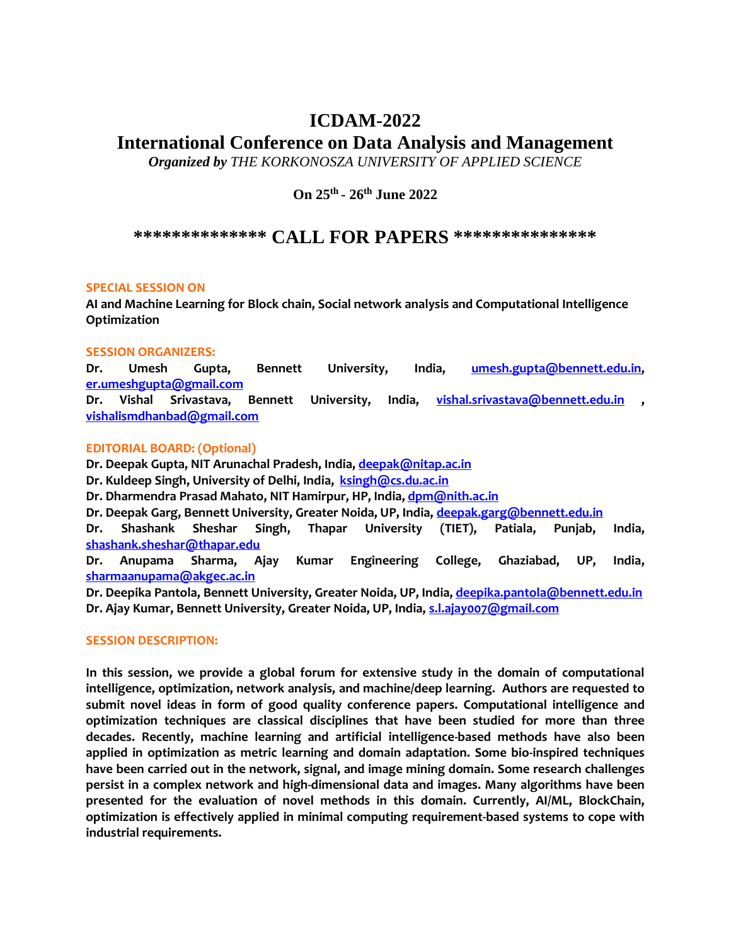# **ICDAM-2022**

# **International Conference on Data Analysis and Management**

*Organized by THE KORKONOSZA UNIVERSITY OF APPLIED SCIENCE* 

**On 25th - 26th June 2022**

**\*\*\*\*\*\*\*\*\*\*\*\*\*\* CALL FOR PAPERS \*\*\*\*\*\*\*\*\*\*\*\*\*\*\***

### **SPECIAL SESSION ON**

**AI and Machine Learning for Block chain, Social network analysis and Computational Intelligence Optimization**

## **SESSION ORGANIZERS:**

**Dr. Umesh Gupta, Bennett University, India, [umesh.gupta@bennett.edu.in,](mailto:umesh.gupta@bennett.edu.in) [er.umeshgupta@gmail.com](mailto:er.umeshgupta@gmail.com)**

**Dr. Vishal Srivastava, Bennett University, India, [vishal.srivastava@bennett.edu.in](mailto:vishal.srivastava@bennett.edu.in) , [vishalismdhanbad@gmail.com](mailto:vishalismdhanbad@gmail.com)**

## **EDITORIAL BOARD: (Optional)**

**Dr. Deepak Gupta, NIT Arunachal Pradesh, India[, deepak@nitap.ac.in](mailto:deepak@nitap.ac.in) Dr. Kuldeep Singh, University of Delhi, India, [ksingh@cs.du.ac.in](mailto:ksingh@cs.du.ac.in) Dr. Dharmendra Prasad Mahato, NIT Hamirpur, HP, India[, dpm@nith.ac.in](mailto:dpm@nith.ac.in) Dr. Deepak Garg, Bennett University, Greater Noida, UP, India[, deepak.garg@bennett.edu.in](mailto:deepak.garg@bennett.edu.in) Dr. Shashank Sheshar Singh, Thapar University (TIET), Patiala, Punjab, India, [shashank.sheshar@thapar.edu](mailto:shashank.sheshar@thapar.edu) Dr. Anupama Sharma, Ajay Kumar Engineering College, Ghaziabad, UP, India, [sharmaanupama@akgec.ac.in](mailto:sharmaanupama@akgec.ac.in) Dr. Deepika Pantola, Bennett University, Greater Noida, UP, India, [deepika.pantola@bennett.edu.in](mailto:deepika.pantola@bennett.edu.in) Dr. Ajay Kumar, Bennett University, Greater Noida, UP, India, [s.l.ajay007@gmail.com](mailto:s.l.ajay007@gmail.com)**

### **SESSION DESCRIPTION:**

**In this session, we provide a global forum for extensive study in the domain of computational intelligence, optimization, network analysis, and machine/deep learning. Authors are requested to submit novel ideas in form of good quality conference papers. Computational intelligence and optimization techniques are classical disciplines that have been studied for more than three decades. Recently, machine learning and artificial intelligence-based methods have also been applied in optimization as metric learning and domain adaptation. Some bio-inspired techniques have been carried out in the network, signal, and image mining domain. Some research challenges persist in a complex network and high-dimensional data and images. Many algorithms have been presented for the evaluation of novel methods in this domain. Currently, AI/ML, BlockChain, optimization is effectively applied in minimal computing requirement-based systems to cope with industrial requirements.**